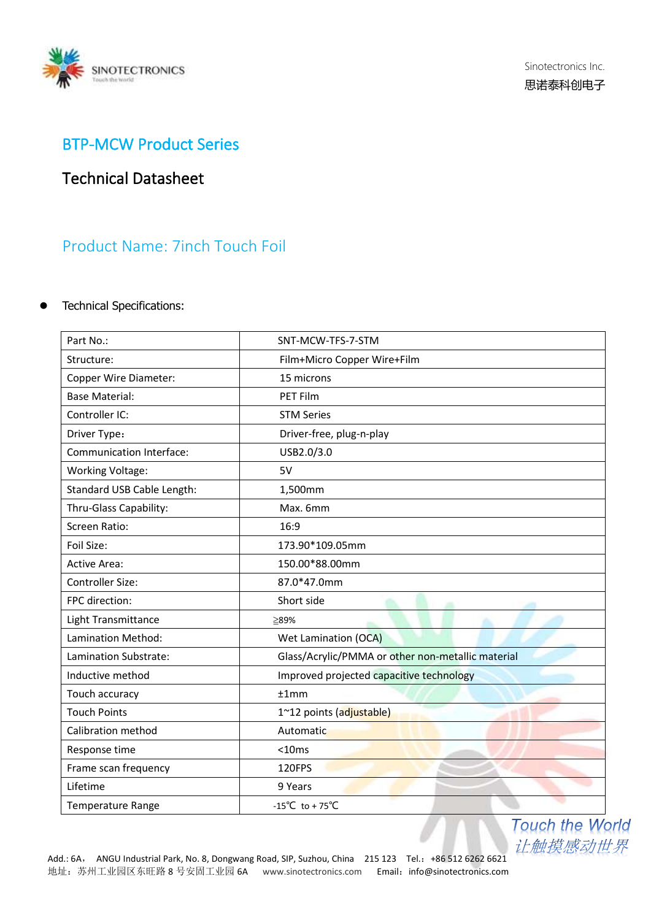

### BTP-MCW Product Series

# Technical Datasheet

## Product Name: 7inch Touch Foil

### ⚫ Technical Specifications:

| Part No.:                  | SNT-MCW-TFS-7-STM                                 |
|----------------------------|---------------------------------------------------|
| Structure:                 | Film+Micro Copper Wire+Film                       |
| Copper Wire Diameter:      | 15 microns                                        |
| <b>Base Material:</b>      | <b>PET Film</b>                                   |
| Controller IC:             | <b>STM Series</b>                                 |
| Driver Type:               | Driver-free, plug-n-play                          |
| Communication Interface:   | USB2.0/3.0                                        |
| <b>Working Voltage:</b>    | 5V                                                |
| Standard USB Cable Length: | 1,500mm                                           |
| Thru-Glass Capability:     | Max. 6mm                                          |
| <b>Screen Ratio:</b>       | 16:9                                              |
| Foil Size:                 | 173.90*109.05mm                                   |
| Active Area:               | 150.00*88.00mm                                    |
| Controller Size:           | 87.0*47.0mm                                       |
| FPC direction:             | Short side<br>m                                   |
| Light Transmittance        | ≧89%                                              |
| Lamination Method:         | Wet Lamination (OCA)                              |
| Lamination Substrate:      | Glass/Acrylic/PMMA or other non-metallic material |
| Inductive method           | Improved projected capacitive technology          |
| Touch accuracy             | ±1mm                                              |
| <b>Touch Points</b>        | 1~12 points (adjustable)                          |
| Calibration method         | Automatic                                         |
| Response time              | $<$ 10 $ms$                                       |
| Frame scan frequency       | 120FPS                                            |
| Lifetime                   | 9 Years                                           |
| Temperature Range          | -15°C to + 75°C                                   |

**Touch the World** 让触摸感动世界